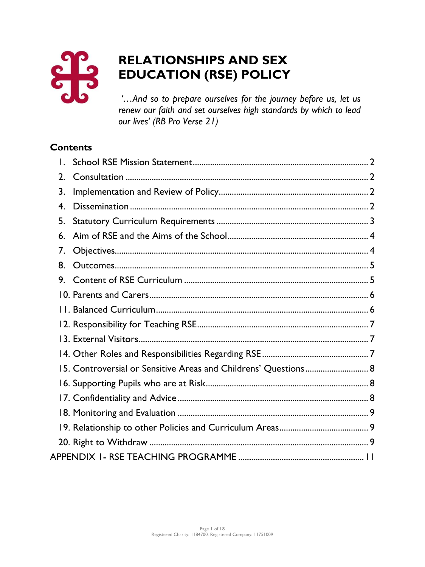

# **RELATIONSHIPS AND SEX EDUCATION (RSE) POLICY**

*'…And so to prepare ourselves for the journey before us, let us renew our faith and set ourselves high standards by which to lead our lives' (RB Pro Verse 21)* 

## **Contents**

| 2. |                                                                 |  |
|----|-----------------------------------------------------------------|--|
| 3. |                                                                 |  |
| 4. |                                                                 |  |
| 5. |                                                                 |  |
| 6. |                                                                 |  |
| 7. |                                                                 |  |
| 8. |                                                                 |  |
| 9. |                                                                 |  |
|    |                                                                 |  |
|    |                                                                 |  |
|    |                                                                 |  |
|    |                                                                 |  |
|    |                                                                 |  |
|    | 15. Controversial or Sensitive Areas and Childrens' Questions 8 |  |
|    |                                                                 |  |
|    |                                                                 |  |
|    |                                                                 |  |
|    |                                                                 |  |
|    |                                                                 |  |
|    |                                                                 |  |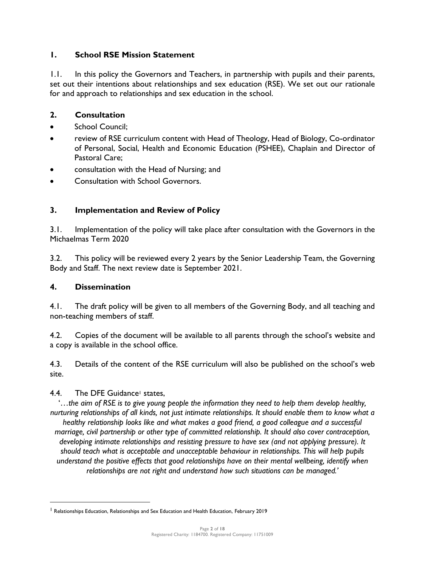## <span id="page-1-0"></span>**1. School RSE Mission Statement**

1.1. In this policy the Governors and Teachers, in partnership with pupils and their parents, set out their intentions about relationships and sex education (RSE). We set out our rationale for and approach to relationships and sex education in the school.

## <span id="page-1-1"></span>**2. Consultation**

- School Council:
- review of RSE curriculum content with Head of Theology, Head of Biology, Co-ordinator of Personal, Social, Health and Economic Education (PSHEE), Chaplain and Director of Pastoral Care;
- consultation with the Head of Nursing; and
- Consultation with School Governors.

## <span id="page-1-2"></span>**3. Implementation and Review of Policy**

3.1. Implementation of the policy will take place after consultation with the Governors in the Michaelmas Term 2020

3.2. This policy will be reviewed every 2 years by the Senior Leadership Team, the Governing Body and Staff. The next review date is September 2021.

#### <span id="page-1-3"></span>**4. Dissemination**

4.1. The draft policy will be given to all members of the Governing Body, and all teaching and non-teaching members of staff.

4.2. Copies of the document will be available to all parents through the school's website and a copy is available in the school office.

4.3. Details of the content of the RSE curriculum will also be published on the school's web site.

## 4.4. The DFE Guidance<sup>1</sup> states,

'…*the aim of RSE is to give young people the information they need to help them develop healthy, nurturing relationships of all kinds, not just intimate relationships. It should enable them to know what a healthy relationship looks like and what makes a good friend, a good colleague and a successful marriage, civil partnership or other type of committed relationship. It should also cover contraception, developing intimate relationships and resisting pressure to have sex (and not applying pressure). It should teach what is acceptable and unacceptable behaviour in relationships. This will help pupils understand the positive effects that good relationships have on their mental wellbeing, identify when relationships are not right and understand how such situations can be managed.'*

<sup>1</sup> Relationships Education, Relationships and Sex Education and Health Education, February 2019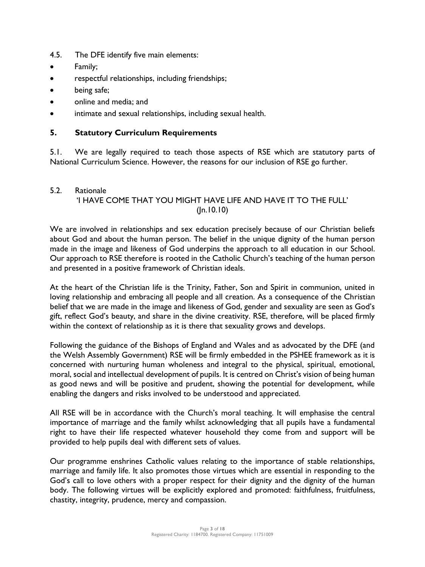- 4.5. The DFE identify five main elements:
- Family;
- respectful relationships, including friendships;
- being safe;
- online and media; and
- intimate and sexual relationships, including sexual health.

#### <span id="page-2-0"></span>**5. Statutory Curriculum Requirements**

5.1. We are legally required to teach those aspects of RSE which are statutory parts of National Curriculum Science. However, the reasons for our inclusion of RSE go further.

#### 5.2. Rationale 'I HAVE COME THAT YOU MIGHT HAVE LIFE AND HAVE IT TO THE FULL' (Jn.10.10)

We are involved in relationships and sex education precisely because of our Christian beliefs about God and about the human person. The belief in the unique dignity of the human person made in the image and likeness of God underpins the approach to all education in our School. Our approach to RSE therefore is rooted in the Catholic Church's teaching of the human person and presented in a positive framework of Christian ideals.

At the heart of the Christian life is the Trinity, Father, Son and Spirit in communion, united in loving relationship and embracing all people and all creation. As a consequence of the Christian belief that we are made in the image and likeness of God, gender and sexuality are seen as God's gift, reflect God's beauty, and share in the divine creativity. RSE, therefore, will be placed firmly within the context of relationship as it is there that sexuality grows and develops.

Following the guidance of the Bishops of England and Wales and as advocated by the DFE (and the Welsh Assembly Government) RSE will be firmly embedded in the PSHEE framework as it is concerned with nurturing human wholeness and integral to the physical, spiritual, emotional, moral, social and intellectual development of pupils. It is centred on Christ's vision of being human as good news and will be positive and prudent, showing the potential for development, while enabling the dangers and risks involved to be understood and appreciated.

All RSE will be in accordance with the Church's moral teaching. It will emphasise the central importance of marriage and the family whilst acknowledging that all pupils have a fundamental right to have their life respected whatever household they come from and support will be provided to help pupils deal with different sets of values.

Our programme enshrines Catholic values relating to the importance of stable relationships, marriage and family life. It also promotes those virtues which are essential in responding to the God's call to love others with a proper respect for their dignity and the dignity of the human body. The following virtues will be explicitly explored and promoted: faithfulness, fruitfulness, chastity, integrity, prudence, mercy and compassion.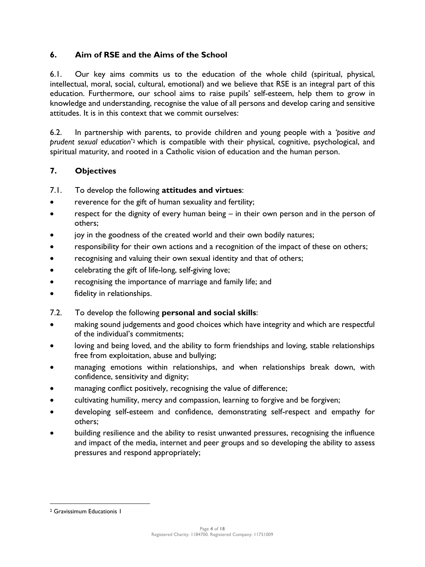## <span id="page-3-0"></span>**6. Aim of RSE and the Aims of the School**

6.1. Our key aims commits us to the education of the whole child (spiritual, physical, intellectual, moral, social, cultural, emotional) and we believe that RSE is an integral part of this education. Furthermore, our school aims to raise pupils' self-esteem, help them to grow in knowledge and understanding, recognise the value of all persons and develop caring and sensitive attitudes. It is in this context that we commit ourselves:

6.2. In partnership with parents, to provide children and young people with a *'positive and prudent sexual education*' <sup>2</sup> which is compatible with their physical, cognitive, psychological, and spiritual maturity, and rooted in a Catholic vision of education and the human person.

## <span id="page-3-1"></span>**7. Objectives**

## 7.1. To develop the following **attitudes and virtues**:

- reverence for the gift of human sexuality and fertility;
- respect for the dignity of every human being in their own person and in the person of others;
- joy in the goodness of the created world and their own bodily natures;
- responsibility for their own actions and a recognition of the impact of these on others;
- recognising and valuing their own sexual identity and that of others;
- celebrating the gift of life-long, self-giving love;
- recognising the importance of marriage and family life; and
- fidelity in relationships.

## 7.2. To develop the following **personal and social skills**:

- making sound judgements and good choices which have integrity and which are respectful of the individual's commitments;
- loving and being loved, and the ability to form friendships and loving, stable relationships free from exploitation, abuse and bullying;
- managing emotions within relationships, and when relationships break down, with confidence, sensitivity and dignity;
- managing conflict positively, recognising the value of difference;
- cultivating humility, mercy and compassion, learning to forgive and be forgiven;
- developing self-esteem and confidence, demonstrating self-respect and empathy for others;
- building resilience and the ability to resist unwanted pressures, recognising the influence and impact of the media, internet and peer groups and so developing the ability to assess pressures and respond appropriately;

<sup>2</sup> Gravissimum Educationis 1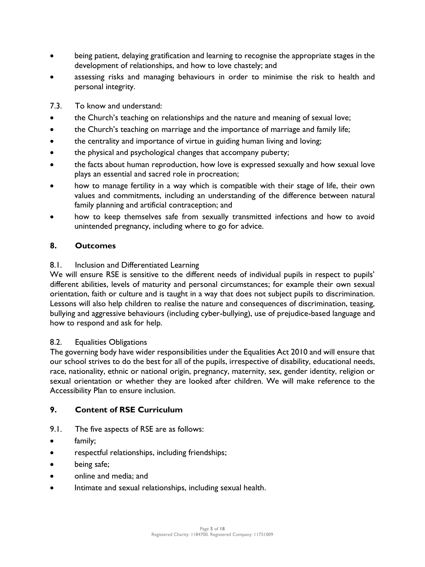- being patient, delaying gratification and learning to recognise the appropriate stages in the development of relationships, and how to love chastely; and
- assessing risks and managing behaviours in order to minimise the risk to health and personal integrity.
- 7.3. To know and understand:
- the Church's teaching on relationships and the nature and meaning of sexual love;
- the Church's teaching on marriage and the importance of marriage and family life;
- the centrality and importance of virtue in guiding human living and loving;
- the physical and psychological changes that accompany puberty;
- the facts about human reproduction, how love is expressed sexually and how sexual love plays an essential and sacred role in procreation;
- how to manage fertility in a way which is compatible with their stage of life, their own values and commitments, including an understanding of the difference between natural family planning and artificial contraception; and
- how to keep themselves safe from sexually transmitted infections and how to avoid unintended pregnancy, including where to go for advice.

#### <span id="page-4-0"></span>**8. Outcomes**

#### 8.1. Inclusion and Differentiated Learning

We will ensure RSE is sensitive to the different needs of individual pupils in respect to pupils' different abilities, levels of maturity and personal circumstances; for example their own sexual orientation, faith or culture and is taught in a way that does not subject pupils to discrimination. Lessons will also help children to realise the nature and consequences of discrimination, teasing, bullying and aggressive behaviours (including cyber-bullying), use of prejudice-based language and how to respond and ask for help.

#### 8.2. Equalities Obligations

The governing body have wider responsibilities under the Equalities Act 2010 and will ensure that our school strives to do the best for all of the pupils, irrespective of disability, educational needs, race, nationality, ethnic or national origin, pregnancy, maternity, sex, gender identity, religion or sexual orientation or whether they are looked after children. We will make reference to the Accessibility Plan to ensure inclusion.

#### <span id="page-4-1"></span>**9. Content of RSE Curriculum**

- 9.1. The five aspects of RSE are as follows:
- family;
- respectful relationships, including friendships;
- being safe;
- online and media; and
- Intimate and sexual relationships, including sexual health.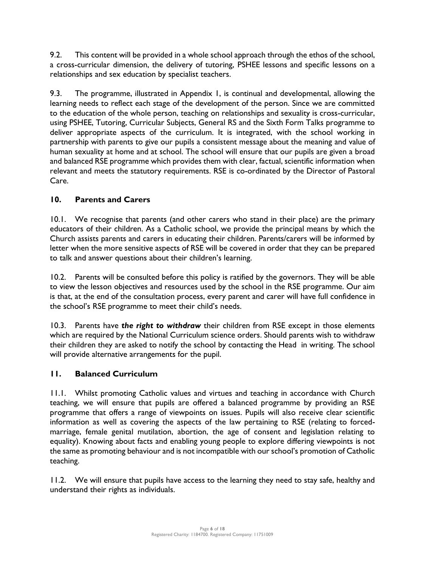9.2. This content will be provided in a whole school approach through the ethos of the school, a cross-curricular dimension, the delivery of tutoring, PSHEE lessons and specific lessons on a relationships and sex education by specialist teachers.

9.3. The programme, illustrated in Appendix 1, is continual and developmental, allowing the learning needs to reflect each stage of the development of the person. Since we are committed to the education of the whole person, teaching on relationships and sexuality is cross-curricular, using PSHEE, Tutoring, Curricular Subjects, General RS and the Sixth Form Talks programme to deliver appropriate aspects of the curriculum. It is integrated, with the school working in partnership with parents to give our pupils a consistent message about the meaning and value of human sexuality at home and at school. The school will ensure that our pupils are given a broad and balanced RSE programme which provides them with clear, factual, scientific information when relevant and meets the statutory requirements. RSE is co-ordinated by the Director of Pastoral Care.

## <span id="page-5-0"></span>**10. Parents and Carers**

10.1. We recognise that parents (and other carers who stand in their place) are the primary educators of their children. As a Catholic school, we provide the principal means by which the Church assists parents and carers in educating their children. Parents/carers will be informed by letter when the more sensitive aspects of RSE will be covered in order that they can be prepared to talk and answer questions about their children's learning.

10.2. Parents will be consulted before this policy is ratified by the governors. They will be able to view the lesson objectives and resources used by the school in the RSE programme. Our aim is that, at the end of the consultation process, every parent and carer will have full confidence in the school's RSE programme to meet their child's needs.

10.3. Parents have *the right to withdraw* their children from RSE except in those elements which are required by the National Curriculum science orders. Should parents wish to withdraw their children they are asked to notify the school by contacting the Head in writing. The school will provide alternative arrangements for the pupil.

## <span id="page-5-1"></span>**11. Balanced Curriculum**

11.1. Whilst promoting Catholic values and virtues and teaching in accordance with Church teaching, we will ensure that pupils are offered a balanced programme by providing an RSE programme that offers a range of viewpoints on issues. Pupils will also receive clear scientific information as well as covering the aspects of the law pertaining to RSE (relating to forcedmarriage, female genital mutilation, abortion, the age of consent and legislation relating to equality). Knowing about facts and enabling young people to explore differing viewpoints is not the same as promoting behaviour and is not incompatible with our school's promotion of Catholic teaching.

11.2. We will ensure that pupils have access to the learning they need to stay safe, healthy and understand their rights as individuals.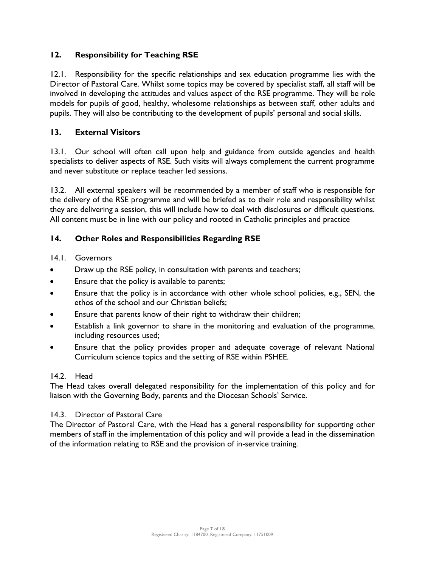## <span id="page-6-0"></span>**12. Responsibility for Teaching RSE**

12.1. Responsibility for the specific relationships and sex education programme lies with the Director of Pastoral Care. Whilst some topics may be covered by specialist staff, all staff will be involved in developing the attitudes and values aspect of the RSE programme. They will be role models for pupils of good, healthy, wholesome relationships as between staff, other adults and pupils. They will also be contributing to the development of pupils' personal and social skills.

## <span id="page-6-1"></span>**13. External Visitors**

13.1. Our school will often call upon help and guidance from outside agencies and health specialists to deliver aspects of RSE. Such visits will always complement the current programme and never substitute or replace teacher led sessions.

13.2. All external speakers will be recommended by a member of staff who is responsible for the delivery of the RSE programme and will be briefed as to their role and responsibility whilst they are delivering a session, this will include how to deal with disclosures or difficult questions. All content must be in line with our policy and rooted in Catholic principles and practice

## <span id="page-6-2"></span>**14. Other Roles and Responsibilities Regarding RSE**

14.1. Governors

- Draw up the RSE policy, in consultation with parents and teachers;
- Ensure that the policy is available to parents;
- Ensure that the policy is in accordance with other whole school policies, e.g., SEN, the ethos of the school and our Christian beliefs;
- Ensure that parents know of their right to withdraw their children;
- Establish a link governor to share in the monitoring and evaluation of the programme, including resources used;
- Ensure that the policy provides proper and adequate coverage of relevant National Curriculum science topics and the setting of RSE within PSHEE.

#### 14.2. Head

The Head takes overall delegated responsibility for the implementation of this policy and for liaison with the Governing Body, parents and the Diocesan Schools' Service.

## 14.3. Director of Pastoral Care

The Director of Pastoral Care, with the Head has a general responsibility for supporting other members of staff in the implementation of this policy and will provide a lead in the dissemination of the information relating to RSE and the provision of in-service training.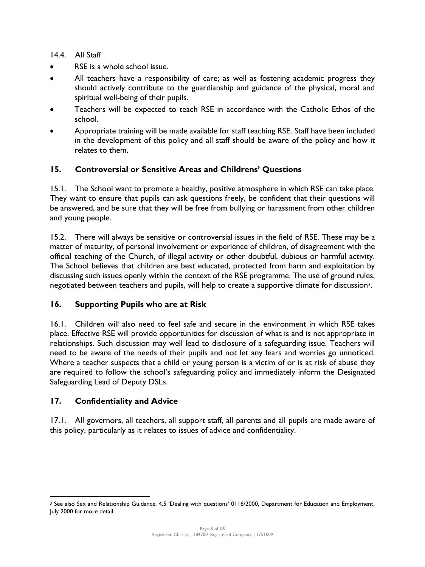14.4. All Staff

- RSE is a whole school issue.
- All teachers have a responsibility of care; as well as fostering academic progress they should actively contribute to the guardianship and guidance of the physical, moral and spiritual well-being of their pupils.
- Teachers will be expected to teach RSE in accordance with the Catholic Ethos of the school.
- Appropriate training will be made available for staff teaching RSE. Staff have been included in the development of this policy and all staff should be aware of the policy and how it relates to them.

## <span id="page-7-0"></span>**15. Controversial or Sensitive Areas and Childrens' Questions**

15.1. The School want to promote a healthy, positive atmosphere in which RSE can take place. They want to ensure that pupils can ask questions freely, be confident that their questions will be answered, and be sure that they will be free from bullying or harassment from other children and young people.

15.2. There will always be sensitive or controversial issues in the field of RSE. These may be a matter of maturity, of personal involvement or experience of children, of disagreement with the official teaching of the Church, of illegal activity or other doubtful, dubious or harmful activity. The School believes that children are best educated, protected from harm and exploitation by discussing such issues openly within the context of the RSE programme. The use of ground rules, negotiated between teachers and pupils, will help to create a supportive climate for discussion3.

#### <span id="page-7-1"></span>**16. Supporting Pupils who are at Risk**

16.1. Children will also need to feel safe and secure in the environment in which RSE takes place. Effective RSE will provide opportunities for discussion of what is and is not appropriate in relationships. Such discussion may well lead to disclosure of a safeguarding issue. Teachers will need to be aware of the needs of their pupils and not let any fears and worries go unnoticed. Where a teacher suspects that a child or young person is a victim of or is at risk of abuse they are required to follow the school's safeguarding policy and immediately inform the Designated Safeguarding Lead of Deputy DSLs.

#### <span id="page-7-2"></span>**17. Confidentiality and Advice**

17.1. All governors, all teachers, all support staff, all parents and all pupils are made aware of this policy, particularly as it relates to issues of advice and confidentiality.

<sup>3</sup> See also Sex and Relationship Guidance, 4.5 'Dealing with questions' 0116/2000, Department for Education and Employment, July 2000 for more detail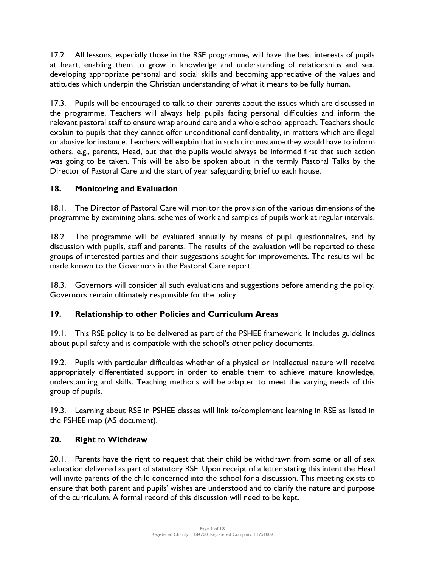17.2. All lessons, especially those in the RSE programme, will have the best interests of pupils at heart, enabling them to grow in knowledge and understanding of relationships and sex, developing appropriate personal and social skills and becoming appreciative of the values and attitudes which underpin the Christian understanding of what it means to be fully human.

17.3. Pupils will be encouraged to talk to their parents about the issues which are discussed in the programme. Teachers will always help pupils facing personal difficulties and inform the relevant pastoral staff to ensure wrap around care and a whole school approach. Teachers should explain to pupils that they cannot offer unconditional confidentiality, in matters which are illegal or abusive for instance. Teachers will explain that in such circumstance they would have to inform others, e.g., parents, Head, but that the pupils would always be informed first that such action was going to be taken. This will be also be spoken about in the termly Pastoral Talks by the Director of Pastoral Care and the start of year safeguarding brief to each house.

#### <span id="page-8-0"></span>**18. Monitoring and Evaluation**

18.1. The Director of Pastoral Care will monitor the provision of the various dimensions of the programme by examining plans, schemes of work and samples of pupils work at regular intervals.

18.2. The programme will be evaluated annually by means of pupil questionnaires, and by discussion with pupils, staff and parents. The results of the evaluation will be reported to these groups of interested parties and their suggestions sought for improvements. The results will be made known to the Governors in the Pastoral Care report.

18.3. Governors will consider all such evaluations and suggestions before amending the policy. Governors remain ultimately responsible for the policy

## <span id="page-8-1"></span>**19. Relationship to other Policies and Curriculum Areas**

19.1. This RSE policy is to be delivered as part of the PSHEE framework. It includes guidelines about pupil safety and is compatible with the school's other policy documents.

19.2. Pupils with particular difficulties whether of a physical or intellectual nature will receive appropriately differentiated support in order to enable them to achieve mature knowledge, understanding and skills. Teaching methods will be adapted to meet the varying needs of this group of pupils.

19.3. Learning about RSE in PSHEE classes will link to/complement learning in RSE as listed in the PSHEE map (A5 document).

#### <span id="page-8-2"></span>**20. Right** to **Withdraw**

20.1. Parents have the right to request that their child be withdrawn from some or all of sex education delivered as part of statutory RSE. Upon receipt of a letter stating this intent the Head will invite parents of the child concerned into the school for a discussion. This meeting exists to ensure that both parent and pupils' wishes are understood and to clarify the nature and purpose of the curriculum. A formal record of this discussion will need to be kept.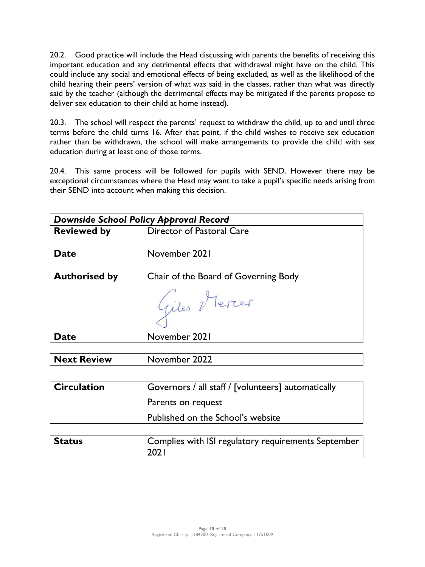20.2. Good practice will include the Head discussing with parents the benefits of receiving this important education and any detrimental effects that withdrawal might have on the child. This could include any social and emotional effects of being excluded, as well as the likelihood of the child hearing their peers' version of what was said in the classes, rather than what was directly said by the teacher (although the detrimental effects may be mitigated if the parents propose to deliver sex education to their child at home instead).

20.3. The school will respect the parents' request to withdraw the child, up to and until three terms before the child turns 16. After that point, if the child wishes to receive sex education rather than be withdrawn, the school will make arrangements to provide the child with sex education during at least one of those terms.

20.4. This same process will be followed for pupils with SEND. However there may be exceptional circumstances where the Head may want to take a pupil's specific needs arising from their SEND into account when making this decision.

| <b>Downside School Policy Approval Record</b> |                                                              |  |
|-----------------------------------------------|--------------------------------------------------------------|--|
| <b>Reviewed by</b>                            | Director of Pastoral Care                                    |  |
|                                               |                                                              |  |
| <b>Date</b>                                   | November 2021                                                |  |
| <b>Authorised by</b>                          | Chair of the Board of Governing Body                         |  |
|                                               | Giles Mercer                                                 |  |
| <b>Date</b>                                   | November 2021                                                |  |
|                                               |                                                              |  |
| <b>Next Review</b>                            | November 2022                                                |  |
|                                               |                                                              |  |
| <b>Circulation</b>                            | Governors / all staff / [volunteers] automatically           |  |
|                                               | Parents on request                                           |  |
|                                               | Published on the School's website                            |  |
|                                               |                                                              |  |
| <b>Status</b>                                 | Complies with ISI regulatory requirements September<br>202 I |  |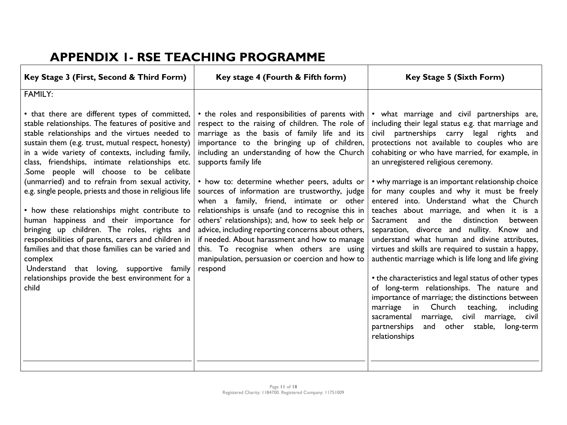# **APPENDIX 1- RSE TEACHING PROGRAMME**

<span id="page-10-0"></span>

| Key Stage 3 (First, Second & Third Form)                                                                                                                                                                                                                                                                                                                                                                                                                                                       | Key stage 4 (Fourth & Fifth form)                                                                                                                                                                                                                                                                                                                                          | <b>Key Stage 5 (Sixth Form)</b>                                                                                                                                                                                                                                                                                                                                                                                                                                                                                                                                                                                                                                                                 |
|------------------------------------------------------------------------------------------------------------------------------------------------------------------------------------------------------------------------------------------------------------------------------------------------------------------------------------------------------------------------------------------------------------------------------------------------------------------------------------------------|----------------------------------------------------------------------------------------------------------------------------------------------------------------------------------------------------------------------------------------------------------------------------------------------------------------------------------------------------------------------------|-------------------------------------------------------------------------------------------------------------------------------------------------------------------------------------------------------------------------------------------------------------------------------------------------------------------------------------------------------------------------------------------------------------------------------------------------------------------------------------------------------------------------------------------------------------------------------------------------------------------------------------------------------------------------------------------------|
| <b>FAMILY:</b><br>• that there are different types of committed,<br>stable relationships. The features of positive and<br>stable relationships and the virtues needed to<br>sustain them (e.g. trust, mutual respect, honesty)<br>in a wide variety of contexts, including family,<br>class, friendships, intimate relationships etc.<br>Some people will choose to be celibate<br>(unmarried) and to refrain from sexual activity,<br>e.g. single people, priests and those in religious life | • the roles and responsibilities of parents with<br>respect to the raising of children. The role of<br>marriage as the basis of family life and its<br>importance to the bringing up of children,<br>including an understanding of how the Church<br>supports family life<br>• how to: determine whether peers, adults or<br>sources of information are trustworthy, judge | • what marriage and civil partnerships are,<br>including their legal status e.g. that marriage and<br>partnerships carry legal<br>rights<br>civil<br>and<br>protections not available to couples who are<br>cohabiting or who have married, for example, in<br>an unregistered religious ceremony.<br>• why marriage is an important relationship choice<br>for many couples and why it must be freely                                                                                                                                                                                                                                                                                          |
| • how these relationships might contribute to<br>human happiness and their importance for<br>bringing up children. The roles, rights and<br>responsibilities of parents, carers and children in<br>families and that those families can be varied and<br>complex<br>Understand that loving, supportive family<br>relationships provide the best environment for a<br>child                                                                                                                     | when a family, friend, intimate or other<br>relationships is unsafe (and to recognise this in<br>others' relationships); and, how to seek help or<br>advice, including reporting concerns about others,<br>if needed. About harassment and how to manage<br>this. To recognise when others are using<br>manipulation, persuasion or coercion and how to<br>respond         | entered into. Understand what the Church<br>teaches about marriage, and when it is a<br>the<br>distinction<br>and<br>Sacrament<br>between<br>divorce and nullity. Know and<br>separation,<br>understand what human and divine attributes,<br>virtues and skills are required to sustain a happy,<br>authentic marriage which is life long and life giving<br>• the characteristics and legal status of other types<br>of long-term relationships. The nature and<br>importance of marriage; the distinctions between<br>Church<br>teaching,<br>marriage<br>in<br>including<br>sacramental marriage, civil marriage, civil<br>other stable,<br>partnerships<br>and<br>long-term<br>relationships |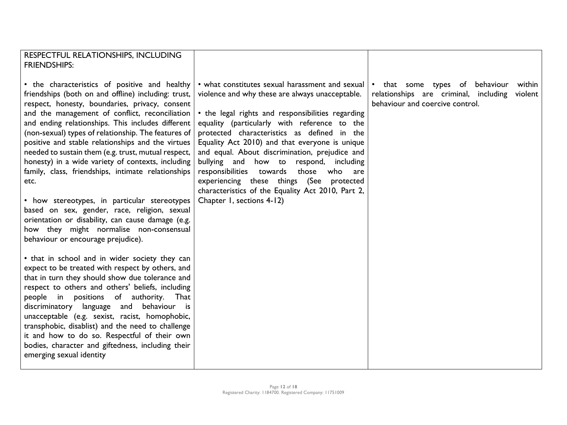| RESPECTFUL RELATIONSHIPS, INCLUDING                                                                                                                                                                                                                                                                                                                                                                                                                                                                                                                                                                                                                                                                                                                                                       |                                                                                                                                                                                                                                                                                                                                                                                                                                                                                                                                                                                          |                                                                                                                                 |
|-------------------------------------------------------------------------------------------------------------------------------------------------------------------------------------------------------------------------------------------------------------------------------------------------------------------------------------------------------------------------------------------------------------------------------------------------------------------------------------------------------------------------------------------------------------------------------------------------------------------------------------------------------------------------------------------------------------------------------------------------------------------------------------------|------------------------------------------------------------------------------------------------------------------------------------------------------------------------------------------------------------------------------------------------------------------------------------------------------------------------------------------------------------------------------------------------------------------------------------------------------------------------------------------------------------------------------------------------------------------------------------------|---------------------------------------------------------------------------------------------------------------------------------|
| <b>FRIENDSHIPS:</b>                                                                                                                                                                                                                                                                                                                                                                                                                                                                                                                                                                                                                                                                                                                                                                       |                                                                                                                                                                                                                                                                                                                                                                                                                                                                                                                                                                                          |                                                                                                                                 |
| • the characteristics of positive and healthy<br>friendships (both on and offline) including: trust,<br>respect, honesty, boundaries, privacy, consent<br>and the management of conflict, reconciliation<br>and ending relationships. This includes different<br>(non-sexual) types of relationship. The features of<br>positive and stable relationships and the virtues<br>needed to sustain them (e.g. trust, mutual respect,<br>honesty) in a wide variety of contexts, including<br>family, class, friendships, intimate relationships<br>etc.<br>• how stereotypes, in particular stereotypes<br>based on sex, gender, race, religion, sexual<br>orientation or disability, can cause damage (e.g.<br>how they might normalise non-consensual<br>behaviour or encourage prejudice). | • what constitutes sexual harassment and sexual<br>violence and why these are always unacceptable.<br>• the legal rights and responsibilities regarding<br>equality (particularly with reference to the<br>protected characteristics as defined in the<br>Equality Act 2010) and that everyone is unique<br>and equal. About discrimination, prejudice and<br>bullying and how to respond, including<br>responsibilities<br>towards<br>those<br>who<br>are<br>experiencing these things (See protected<br>characteristics of the Equality Act 2010, Part 2,<br>Chapter 1, sections 4-12) | • that some types of behaviour<br>within<br>relationships are criminal, including<br>violent<br>behaviour and coercive control. |
| • that in school and in wider society they can<br>expect to be treated with respect by others, and<br>that in turn they should show due tolerance and<br>respect to others and others' beliefs, including<br>people in positions of authority. That<br>discriminatory language and behaviour is<br>unacceptable (e.g. sexist, racist, homophobic,<br>transphobic, disablist) and the need to challenge<br>it and how to do so. Respectful of their own<br>bodies, character and giftedness, including their<br>emerging sexual identity                                                                                                                                                                                                                                                   |                                                                                                                                                                                                                                                                                                                                                                                                                                                                                                                                                                                          |                                                                                                                                 |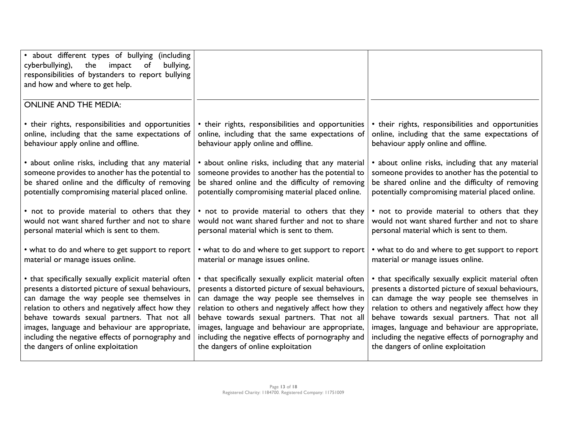| about different types of bullying (including<br>cyberbullying),<br>the<br>bullying,<br>impact<br>of<br>responsibilities of bystanders to report bullying<br>and how and where to get help. |                                                      |                                                      |
|--------------------------------------------------------------------------------------------------------------------------------------------------------------------------------------------|------------------------------------------------------|------------------------------------------------------|
| <b>ONLINE AND THE MEDIA:</b>                                                                                                                                                               |                                                      |                                                      |
| • their rights, responsibilities and opportunities                                                                                                                                         | • their rights, responsibilities and opportunities   | • their rights, responsibilities and opportunities   |
| online, including that the same expectations of                                                                                                                                            | online, including that the same expectations of      | online, including that the same expectations of      |
| behaviour apply online and offline.                                                                                                                                                        | behaviour apply online and offline.                  | behaviour apply online and offline.                  |
| • about online risks, including that any material                                                                                                                                          | • about online risks, including that any material    | • about online risks, including that any material    |
| someone provides to another has the potential to                                                                                                                                           | someone provides to another has the potential to     | someone provides to another has the potential to     |
| be shared online and the difficulty of removing                                                                                                                                            | be shared online and the difficulty of removing      | be shared online and the difficulty of removing      |
| potentially compromising material placed online.                                                                                                                                           | potentially compromising material placed online.     | potentially compromising material placed online.     |
| • not to provide material to others that they                                                                                                                                              | • not to provide material to others that they        | • not to provide material to others that they        |
| would not want shared further and not to share                                                                                                                                             | would not want shared further and not to share       | would not want shared further and not to share       |
| personal material which is sent to them.                                                                                                                                                   | personal material which is sent to them.             | personal material which is sent to them.             |
| • what to do and where to get support to report                                                                                                                                            | • what to do and where to get support to report      | • what to do and where to get support to report      |
| material or manage issues online.                                                                                                                                                          | material or manage issues online.                    | material or manage issues online.                    |
| • that specifically sexually explicit material often                                                                                                                                       | • that specifically sexually explicit material often | • that specifically sexually explicit material often |
| presents a distorted picture of sexual behaviours,                                                                                                                                         | presents a distorted picture of sexual behaviours,   | presents a distorted picture of sexual behaviours,   |
| can damage the way people see themselves in                                                                                                                                                | can damage the way people see themselves in          | can damage the way people see themselves in          |
| relation to others and negatively affect how they                                                                                                                                          | relation to others and negatively affect how they    | relation to others and negatively affect how they    |
| behave towards sexual partners. That not all                                                                                                                                               | behave towards sexual partners. That not all         | behave towards sexual partners. That not all         |
| images, language and behaviour are appropriate,                                                                                                                                            | images, language and behaviour are appropriate,      | images, language and behaviour are appropriate,      |
| including the negative effects of pornography and                                                                                                                                          | including the negative effects of pornography and    | including the negative effects of pornography and    |
| the dangers of online exploitation                                                                                                                                                         | the dangers of online exploitation                   | the dangers of online exploitation                   |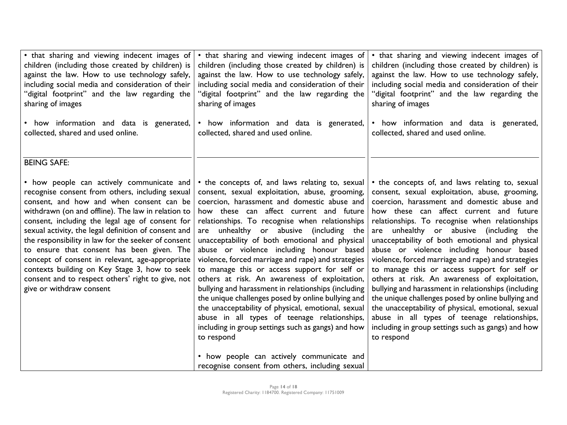| • that sharing and viewing indecent images of<br>children (including those created by children) is<br>against the law. How to use technology safely,<br>including social media and consideration of their<br>"digital footprint" and the law regarding the<br>sharing of images<br>• how information and data is generated,                                                                                                                                                                                                                                                                         | • that sharing and viewing indecent images of<br>children (including those created by children) is<br>against the law. How to use technology safely,<br>including social media and consideration of their<br>"digital footprint" and the law regarding the<br>sharing of images<br>• how information and data is generated,                                                                                                                                                                                                                                                                                                                                                                                                                                                                                                                                                       | • that sharing and viewing indecent images of<br>children (including those created by children) is<br>against the law. How to use technology safely,<br>including social media and consideration of their<br>"digital footprint" and the law regarding the<br>sharing of images<br>• how information and data is generated,                                                                                                                                                                                                                                                                                                                                                                                                                                                                                                          |
|-----------------------------------------------------------------------------------------------------------------------------------------------------------------------------------------------------------------------------------------------------------------------------------------------------------------------------------------------------------------------------------------------------------------------------------------------------------------------------------------------------------------------------------------------------------------------------------------------------|-----------------------------------------------------------------------------------------------------------------------------------------------------------------------------------------------------------------------------------------------------------------------------------------------------------------------------------------------------------------------------------------------------------------------------------------------------------------------------------------------------------------------------------------------------------------------------------------------------------------------------------------------------------------------------------------------------------------------------------------------------------------------------------------------------------------------------------------------------------------------------------|--------------------------------------------------------------------------------------------------------------------------------------------------------------------------------------------------------------------------------------------------------------------------------------------------------------------------------------------------------------------------------------------------------------------------------------------------------------------------------------------------------------------------------------------------------------------------------------------------------------------------------------------------------------------------------------------------------------------------------------------------------------------------------------------------------------------------------------|
| collected, shared and used online.                                                                                                                                                                                                                                                                                                                                                                                                                                                                                                                                                                  | collected, shared and used online.                                                                                                                                                                                                                                                                                                                                                                                                                                                                                                                                                                                                                                                                                                                                                                                                                                                | collected, shared and used online.                                                                                                                                                                                                                                                                                                                                                                                                                                                                                                                                                                                                                                                                                                                                                                                                   |
| <b>BEING SAFE:</b>                                                                                                                                                                                                                                                                                                                                                                                                                                                                                                                                                                                  |                                                                                                                                                                                                                                                                                                                                                                                                                                                                                                                                                                                                                                                                                                                                                                                                                                                                                   |                                                                                                                                                                                                                                                                                                                                                                                                                                                                                                                                                                                                                                                                                                                                                                                                                                      |
| • how people can actively communicate and<br>recognise consent from others, including sexual<br>consent, and how and when consent can be<br>withdrawn (on and offline). The law in relation to<br>consent, including the legal age of consent for<br>sexual activity, the legal definition of consent and<br>the responsibility in law for the seeker of consent<br>to ensure that consent has been given. The<br>concept of consent in relevant, age-appropriate<br>contexts building on Key Stage 3, how to seek<br>consent and to respect others' right to give, not<br>give or withdraw consent | • the concepts of, and laws relating to, sexual<br>consent, sexual exploitation, abuse, grooming,<br>coercion, harassment and domestic abuse and<br>how these can affect current and future<br>relationships. To recognise when relationships<br>are unhealthy or abusive (including the<br>unacceptability of both emotional and physical<br>abuse or violence including honour based<br>violence, forced marriage and rape) and strategies<br>to manage this or access support for self or<br>others at risk. An awareness of exploitation,<br>bullying and harassment in relationships (including<br>the unique challenges posed by online bullying and<br>the unacceptability of physical, emotional, sexual<br>abuse in all types of teenage relationships,<br>including in group settings such as gangs) and how<br>to respond<br>• how people can actively communicate and | • the concepts of, and laws relating to, sexual<br>consent, sexual exploitation, abuse, grooming,<br>coercion, harassment and domestic abuse and<br>how these can affect current and future<br>relationships. To recognise when relationships<br>are unhealthy or abusive (including the<br>unacceptability of both emotional and physical<br>abuse or violence including honour based<br>violence, forced marriage and rape) and strategies<br>to manage this or access support for self or<br>others at risk. An awareness of exploitation,<br>bullying and harassment in relationships (including<br>the unique challenges posed by online bullying and<br>the unacceptability of physical, emotional, sexual<br>abuse in all types of teenage relationships,<br>including in group settings such as gangs) and how<br>to respond |
|                                                                                                                                                                                                                                                                                                                                                                                                                                                                                                                                                                                                     | recognise consent from others, including sexual                                                                                                                                                                                                                                                                                                                                                                                                                                                                                                                                                                                                                                                                                                                                                                                                                                   |                                                                                                                                                                                                                                                                                                                                                                                                                                                                                                                                                                                                                                                                                                                                                                                                                                      |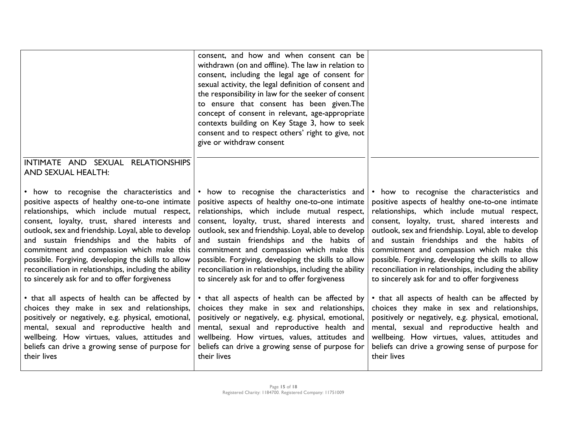|                                                                          | consent, and how and when consent can be<br>withdrawn (on and offline). The law in relation to<br>consent, including the legal age of consent for<br>sexual activity, the legal definition of consent and<br>the responsibility in law for the seeker of consent<br>to ensure that consent has been given. The<br>concept of consent in relevant, age-appropriate<br>contexts building on Key Stage 3, how to seek<br>consent and to respect others' right to give, not<br>give or withdraw consent |                                                        |
|--------------------------------------------------------------------------|-----------------------------------------------------------------------------------------------------------------------------------------------------------------------------------------------------------------------------------------------------------------------------------------------------------------------------------------------------------------------------------------------------------------------------------------------------------------------------------------------------|--------------------------------------------------------|
| INTIMATE AND SEXUAL<br><b>RELATIONSHIPS</b><br><b>AND SEXUAL HEALTH:</b> |                                                                                                                                                                                                                                                                                                                                                                                                                                                                                                     |                                                        |
| • how to recognise the characteristics and                               | • how to recognise the characteristics and                                                                                                                                                                                                                                                                                                                                                                                                                                                          | • how to recognise the characteristics and             |
| positive aspects of healthy one-to-one intimate                          | positive aspects of healthy one-to-one intimate                                                                                                                                                                                                                                                                                                                                                                                                                                                     | positive aspects of healthy one-to-one intimate        |
| relationships, which include mutual respect,                             | relationships, which include mutual respect,                                                                                                                                                                                                                                                                                                                                                                                                                                                        | relationships, which include mutual respect,           |
| consent, loyalty, trust, shared interests and                            | consent, loyalty, trust, shared interests and                                                                                                                                                                                                                                                                                                                                                                                                                                                       | consent, loyalty, trust, shared interests and          |
| outlook, sex and friendship. Loyal, able to develop                      | outlook, sex and friendship. Loyal, able to develop                                                                                                                                                                                                                                                                                                                                                                                                                                                 | outlook, sex and friendship. Loyal, able to develop    |
| and sustain friendships and the habits of                                | and sustain friendships and the habits of                                                                                                                                                                                                                                                                                                                                                                                                                                                           | and sustain friendships and the habits of              |
| commitment and compassion which make this                                | commitment and compassion which make this                                                                                                                                                                                                                                                                                                                                                                                                                                                           | commitment and compassion which make this              |
| possible. Forgiving, developing the skills to allow                      | possible. Forgiving, developing the skills to allow                                                                                                                                                                                                                                                                                                                                                                                                                                                 | possible. Forgiving, developing the skills to allow    |
| reconciliation in relationships, including the ability                   | reconciliation in relationships, including the ability                                                                                                                                                                                                                                                                                                                                                                                                                                              | reconciliation in relationships, including the ability |
| to sincerely ask for and to offer forgiveness                            | to sincerely ask for and to offer forgiveness                                                                                                                                                                                                                                                                                                                                                                                                                                                       | to sincerely ask for and to offer forgiveness          |
| • that all aspects of health can be affected by                          | • that all aspects of health can be affected by                                                                                                                                                                                                                                                                                                                                                                                                                                                     | • that all aspects of health can be affected by        |
| choices they make in sex and relationships,                              | choices they make in sex and relationships,                                                                                                                                                                                                                                                                                                                                                                                                                                                         | choices they make in sex and relationships,            |
| positively or negatively, e.g. physical, emotional,                      | positively or negatively, e.g. physical, emotional,                                                                                                                                                                                                                                                                                                                                                                                                                                                 | positively or negatively, e.g. physical, emotional,    |
| mental, sexual and reproductive health and                               | mental, sexual and reproductive health and                                                                                                                                                                                                                                                                                                                                                                                                                                                          | mental, sexual and reproductive health and             |
| wellbeing. How virtues, values, attitudes and                            | wellbeing. How virtues, values, attitudes and                                                                                                                                                                                                                                                                                                                                                                                                                                                       | wellbeing. How virtues, values, attitudes and          |
| beliefs can drive a growing sense of purpose for                         | beliefs can drive a growing sense of purpose for                                                                                                                                                                                                                                                                                                                                                                                                                                                    | beliefs can drive a growing sense of purpose for       |
| their lives                                                              | their lives                                                                                                                                                                                                                                                                                                                                                                                                                                                                                         | their lives                                            |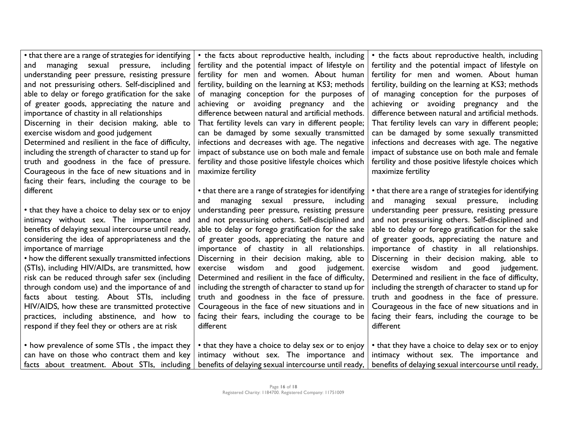• that there are a range of strategies for identifying and managing sexual pressure, including understanding peer pressure, resisting pressure and not pressurising others. Self-disciplined and able to delay or forego gratification for the sake of greater goods, appreciating the nature and importance of chastity in all relationships Discerning in their decision making, able to exercise wisdom and good judgement Determined and resilient in the face of difficulty, including the strength of character to stand up for truth and goodness in the face of pressure. Courageous in the face of new situations and in facing their fears, including the courage to be different

• that they have a choice to delay sex or to enjoy intimacy without sex. The importance and benefits of delaying sexual intercourse until ready, considering the idea of appropriateness and the importance of marriage

• how the different sexually transmitted infections (STIs), including HIV/AIDs, are transmitted, how risk can be reduced through safer sex (including through condom use) and the importance of and facts about testing. About STIs, including HIV/AIDS, how these are transmitted protective practices, including abstinence, and how to respond if they feel they or others are at risk

• the facts about reproductive health, including fertility and the potential impact of lifestyle on fertility for men and women. About human fertility, building on the learning at KS3; methods of managing conception for the purposes of achieving or avoiding pregnancy and the difference between natural and artificial methods. That fertility levels can vary in different people; can be damaged by some sexually transmitted infections and decreases with age. The negative impact of substance use on both male and female fertility and those positive lifestyle choices which maximize fertility

• that there are a range of strategies for identifying and managing sexual pressure, including understanding peer pressure, resisting pressure and not pressurising others. Self-disciplined and able to delay or forego gratification for the sake of greater goods, appreciating the nature and importance of chastity in all relationships. Discerning in their decision making, able to exercise wisdom and good judgement. Determined and resilient in the face of difficulty, including the strength of character to stand up for truth and goodness in the face of pressure. Courageous in the face of new situations and in facing their fears, including the courage to be different

• the facts about reproductive health, including fertility and the potential impact of lifestyle on fertility for men and women. About human fertility, building on the learning at KS3; methods of managing conception for the purposes of achieving or avoiding pregnancy and the difference between natural and artificial methods. That fertility levels can vary in different people; can be damaged by some sexually transmitted infections and decreases with age. The negative impact of substance use on both male and female fertility and those positive lifestyle choices which maximize fertility

• that there are a range of strategies for identifying and managing sexual pressure, including understanding peer pressure, resisting pressure and not pressurising others. Self-disciplined and able to delay or forego gratification for the sake of greater goods, appreciating the nature and importance of chastity in all relationships. Discerning in their decision making, able to exercise wisdom and good judgement. Determined and resilient in the face of difficulty, including the strength of character to stand up for truth and goodness in the face of pressure. Courageous in the face of new situations and in facing their fears, including the courage to be different

• how prevalence of some STIs , the impact they can have on those who contract them and key facts about treatment. About STIs, including • that they have a choice to delay sex or to enjoy intimacy without sex. The importance and benefits of delaying sexual intercourse until ready, • that they have a choice to delay sex or to enjoy intimacy without sex. The importance and benefits of delaying sexual intercourse until ready,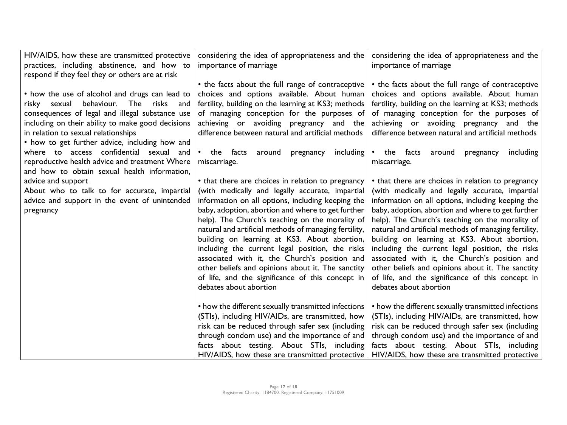| HIV/AIDS, how these are transmitted protective    | considering the idea of appropriateness and the       | considering the idea of appropriateness and the       |
|---------------------------------------------------|-------------------------------------------------------|-------------------------------------------------------|
| practices, including abstinence, and how to       | importance of marriage                                | importance of marriage                                |
| respond if they feel they or others are at risk   |                                                       |                                                       |
|                                                   | • the facts about the full range of contraceptive     | • the facts about the full range of contraceptive     |
| • how the use of alcohol and drugs can lead to    | choices and options available. About human            | choices and options available. About human            |
| behaviour. The risks and<br>risky sexual          | fertility, building on the learning at KS3; methods   | fertility, building on the learning at KS3; methods   |
| consequences of legal and illegal substance use   | of managing conception for the purposes of            | of managing conception for the purposes of            |
| including on their ability to make good decisions | achieving or avoiding pregnancy and the               | achieving or avoiding pregnancy and the               |
| in relation to sexual relationships               | difference between natural and artificial methods     | difference between natural and artificial methods     |
| • how to get further advice, including how and    |                                                       |                                                       |
| where to access confidential sexual and           | the facts<br>including<br>around<br>pregnancy         | • the facts<br>including<br>around<br>pregnancy       |
| reproductive health advice and treatment Where    | miscarriage.                                          | miscarriage.                                          |
| and how to obtain sexual health information,      |                                                       |                                                       |
| advice and support                                | • that there are choices in relation to pregnancy     | • that there are choices in relation to pregnancy     |
| About who to talk to for accurate, impartial      | (with medically and legally accurate, impartial       | (with medically and legally accurate, impartial       |
| advice and support in the event of unintended     | information on all options, including keeping the     | information on all options, including keeping the     |
| pregnancy                                         | baby, adoption, abortion and where to get further     | baby, adoption, abortion and where to get further     |
|                                                   | help). The Church's teaching on the morality of       | help). The Church's teaching on the morality of       |
|                                                   | natural and artificial methods of managing fertility, | natural and artificial methods of managing fertility, |
|                                                   | building on learning at KS3. About abortion,          | building on learning at KS3. About abortion,          |
|                                                   | including the current legal position, the risks       | including the current legal position, the risks       |
|                                                   | associated with it, the Church's position and         | associated with it, the Church's position and         |
|                                                   | other beliefs and opinions about it. The sanctity     | other beliefs and opinions about it. The sanctity     |
|                                                   | of life, and the significance of this concept in      | of life, and the significance of this concept in      |
|                                                   | debates about abortion                                | debates about abortion                                |
|                                                   |                                                       |                                                       |
|                                                   | • how the different sexually transmitted infections   | • how the different sexually transmitted infections   |
|                                                   | (STIs), including HIV/AIDs, are transmitted, how      | (STIs), including HIV/AIDs, are transmitted, how      |
|                                                   | risk can be reduced through safer sex (including      | risk can be reduced through safer sex (including      |
|                                                   | through condom use) and the importance of and         | through condom use) and the importance of and         |
|                                                   | facts about testing. About STIs, including            | facts about testing. About STIs, including            |
|                                                   | HIV/AIDS, how these are transmitted protective        | HIV/AIDS, how these are transmitted protective        |